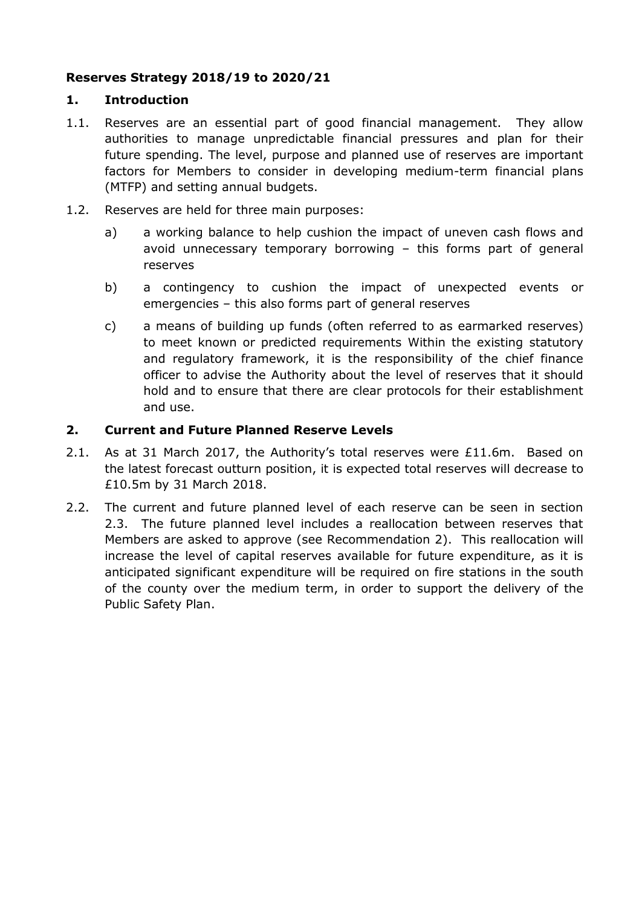## **Reserves Strategy 2018/19 to 2020/21**

## **1. Introduction**

- 1.1. Reserves are an essential part of good financial management. They allow authorities to manage unpredictable financial pressures and plan for their future spending. The level, purpose and planned use of reserves are important factors for Members to consider in developing medium-term financial plans (MTFP) and setting annual budgets.
- 1.2. Reserves are held for three main purposes:
	- a) a working balance to help cushion the impact of uneven cash flows and avoid unnecessary temporary borrowing – this forms part of general reserves
	- b) a contingency to cushion the impact of unexpected events or emergencies – this also forms part of general reserves
	- c) a means of building up funds (often referred to as earmarked reserves) to meet known or predicted requirements Within the existing statutory and regulatory framework, it is the responsibility of the chief finance officer to advise the Authority about the level of reserves that it should hold and to ensure that there are clear protocols for their establishment and use.

## **2. Current and Future Planned Reserve Levels**

- 2.1. As at 31 March 2017, the Authority's total reserves were £11.6m. Based on the latest forecast outturn position, it is expected total reserves will decrease to £10.5m by 31 March 2018.
- 2.2. The current and future planned level of each reserve can be seen in section 2.3. The future planned level includes a reallocation between reserves that Members are asked to approve (see Recommendation 2). This reallocation will increase the level of capital reserves available for future expenditure, as it is anticipated significant expenditure will be required on fire stations in the south of the county over the medium term, in order to support the delivery of the Public Safety Plan.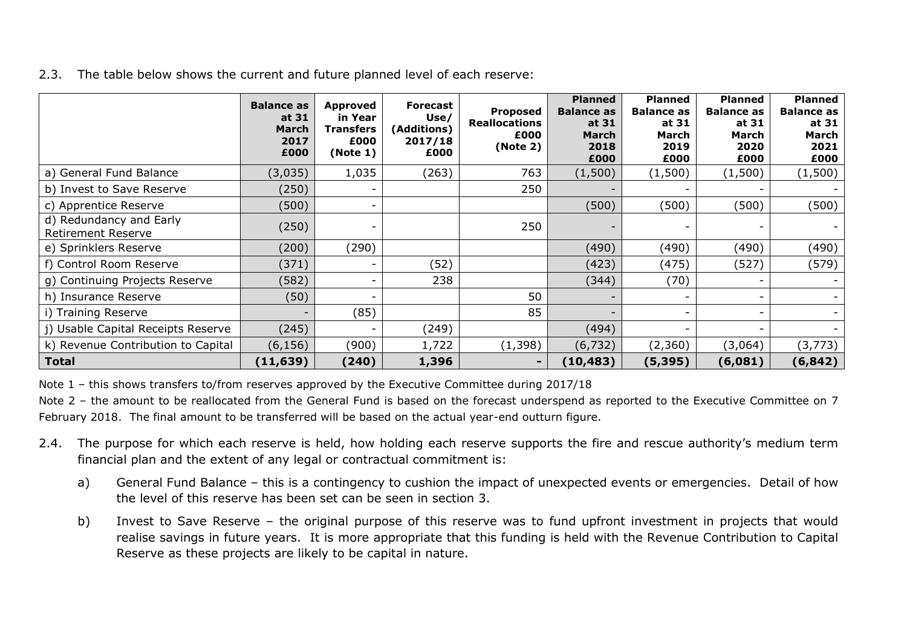| 2.3. The table below shows the current and future planned level of each reserve: |
|----------------------------------------------------------------------------------|
|----------------------------------------------------------------------------------|

|                                                      | <b>Balance as</b><br>at 31<br><b>March</b><br>2017<br>£000 | Approved<br>in Year<br><b>Transfers</b><br>£000<br>(Note 1) | <b>Forecast</b><br>Use/<br>(Additions)<br>2017/18<br>£000 | <b>Proposed</b><br><b>Reallocations</b><br>£000<br>(Note 2) | <b>Planned</b><br><b>Balance as</b><br>at 31<br>March<br>2018<br>£000 | <b>Planned</b><br><b>Balance as</b><br>at 31<br>March<br>2019<br>£000 | <b>Planned</b><br><b>Balance as</b><br>at 31<br>March<br>2020<br>£000 | <b>Planned</b><br><b>Balance as</b><br>at 31<br>March<br>2021<br>£000 |
|------------------------------------------------------|------------------------------------------------------------|-------------------------------------------------------------|-----------------------------------------------------------|-------------------------------------------------------------|-----------------------------------------------------------------------|-----------------------------------------------------------------------|-----------------------------------------------------------------------|-----------------------------------------------------------------------|
| a) General Fund Balance                              | (3,035)                                                    | 1,035                                                       | (263)                                                     | 763                                                         | (1,500)                                                               | (1,500)                                                               | (1,500)                                                               | (1,500)                                                               |
| b) Invest to Save Reserve                            | (250)                                                      |                                                             |                                                           | 250                                                         |                                                                       |                                                                       |                                                                       |                                                                       |
| c) Apprentice Reserve                                | (500)                                                      |                                                             |                                                           |                                                             | (500)                                                                 | (500)                                                                 | (500)                                                                 | (500)                                                                 |
| d) Redundancy and Early<br><b>Retirement Reserve</b> | (250)                                                      |                                                             |                                                           | 250                                                         |                                                                       |                                                                       |                                                                       |                                                                       |
| e) Sprinklers Reserve                                | (200)                                                      | (290)                                                       |                                                           |                                                             | (490)                                                                 | (490)                                                                 | (490)                                                                 | (490)                                                                 |
| f) Control Room Reserve                              | (371)                                                      |                                                             | (52)                                                      |                                                             | (423)                                                                 | (475)                                                                 | (527)                                                                 | (579)                                                                 |
| g) Continuing Projects Reserve                       | (582)                                                      |                                                             | 238                                                       |                                                             | (344)                                                                 | (70)                                                                  |                                                                       |                                                                       |
| h) Insurance Reserve                                 | (50)                                                       |                                                             |                                                           | 50                                                          |                                                                       |                                                                       |                                                                       |                                                                       |
| i) Training Reserve                                  |                                                            | (85)                                                        |                                                           | 85                                                          |                                                                       |                                                                       |                                                                       |                                                                       |
| j) Usable Capital Receipts Reserve                   | (245)                                                      |                                                             | (249)                                                     |                                                             | (494)                                                                 |                                                                       |                                                                       |                                                                       |
| k) Revenue Contribution to Capital                   | (6, 156)                                                   | (900)                                                       | 1,722                                                     | (1, 398)                                                    | (6, 732)                                                              | (2,360)                                                               | (3,064)                                                               | (3,773)                                                               |
| <b>Total</b>                                         | (11, 639)                                                  | (240)                                                       | 1,396                                                     | $\overline{\phantom{a}}$                                    | (10, 483)                                                             | (5, 395)                                                              | (6,081)                                                               | (6, 842)                                                              |

Note 1 – this shows transfers to/from reserves approved by the Executive Committee during 2017/18

Note 2 – the amount to be reallocated from the General Fund is based on the forecast underspend as reported to the Executive Committee on 7 February 2018. The final amount to be transferred will be based on the actual year-end outturn figure.

- 2.4. The purpose for which each reserve is held, how holding each reserve supports the fire and rescue authority's medium term financial plan and the extent of any legal or contractual commitment is:
	- a) General Fund Balance this is a contingency to cushion the impact of unexpected events or emergencies. Detail of how the level of this reserve has been set can be seen in section 3.
	- b) Invest to Save Reserve the original purpose of this reserve was to fund upfront investment in projects that would realise savings in future years. It is more appropriate that this funding is held with the Revenue Contribution to Capital Reserve as these projects are likely to be capital in nature.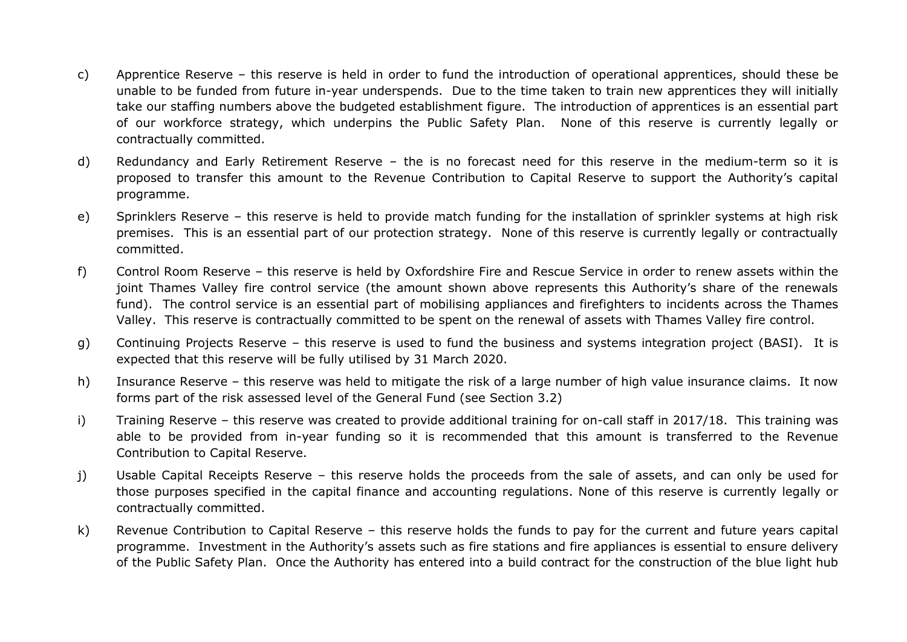- c) Apprentice Reserve this reserve is held in order to fund the introduction of operational apprentices, should these be unable to be funded from future in-year underspends. Due to the time taken to train new apprentices they will initially take our staffing numbers above the budgeted establishment figure. The introduction of apprentices is an essential part of our workforce strategy, which underpins the Public Safety Plan. None of this reserve is currently legally or contractually committed.
- d) Redundancy and Early Retirement Reserve the is no forecast need for this reserve in the medium-term so it is proposed to transfer this amount to the Revenue Contribution to Capital Reserve to support the Authority's capital programme.
- e) Sprinklers Reserve this reserve is held to provide match funding for the installation of sprinkler systems at high risk premises. This is an essential part of our protection strategy. None of this reserve is currently legally or contractually committed.
- f) Control Room Reserve this reserve is held by Oxfordshire Fire and Rescue Service in order to renew assets within the joint Thames Valley fire control service (the amount shown above represents this Authority's share of the renewals fund). The control service is an essential part of mobilising appliances and firefighters to incidents across the Thames Valley. This reserve is contractually committed to be spent on the renewal of assets with Thames Valley fire control.
- g) Continuing Projects Reserve this reserve is used to fund the business and systems integration project (BASI). It is expected that this reserve will be fully utilised by 31 March 2020.
- h) Insurance Reserve this reserve was held to mitigate the risk of a large number of high value insurance claims. It now forms part of the risk assessed level of the General Fund (see Section 3.2)
- i) Training Reserve this reserve was created to provide additional training for on-call staff in 2017/18. This training was able to be provided from in-year funding so it is recommended that this amount is transferred to the Revenue Contribution to Capital Reserve.
- j) Usable Capital Receipts Reserve this reserve holds the proceeds from the sale of assets, and can only be used for those purposes specified in the capital finance and accounting regulations. None of this reserve is currently legally or contractually committed.
- k) Revenue Contribution to Capital Reserve this reserve holds the funds to pay for the current and future years capital programme. Investment in the Authority's assets such as fire stations and fire appliances is essential to ensure delivery of the Public Safety Plan. Once the Authority has entered into a build contract for the construction of the blue light hub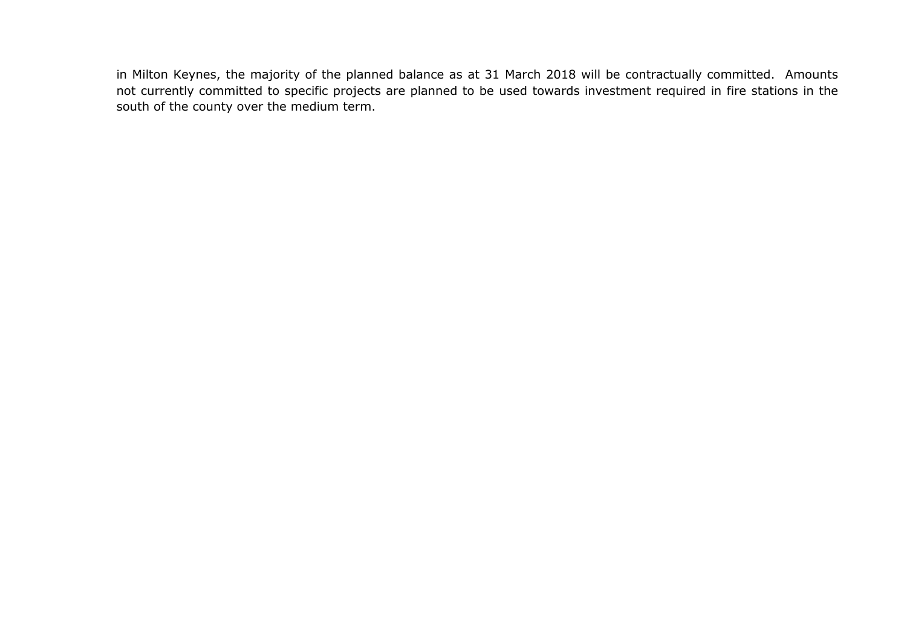in Milton Keynes, the majority of the planned balance as at 31 March 2018 will be contractually committed. Amounts not currently committed to specific projects are planned to be used towards investment required in fire stations in the south of the county over the medium term.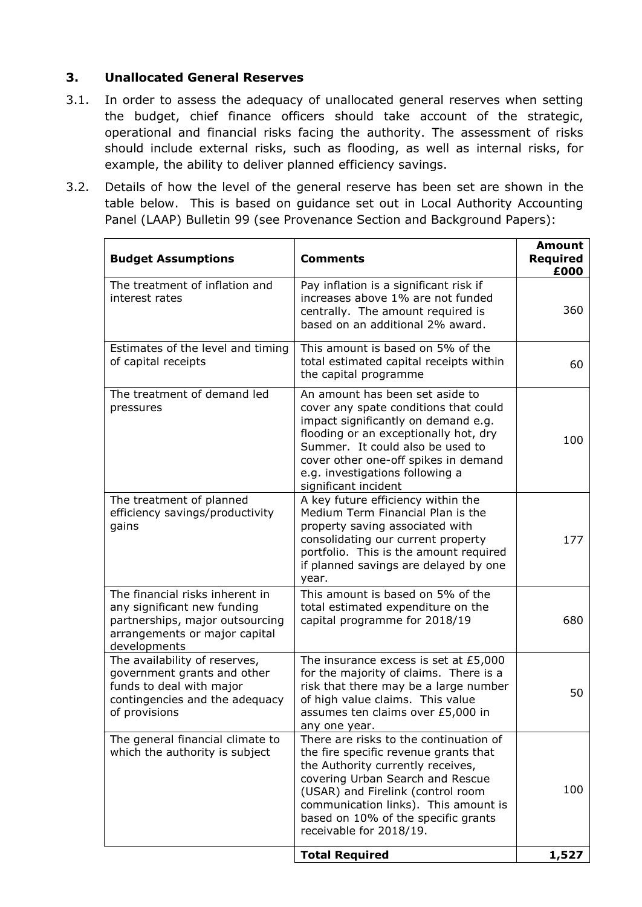## **3. Unallocated General Reserves**

- 3.1. In order to assess the adequacy of unallocated general reserves when setting the budget, chief finance officers should take account of the strategic, operational and financial risks facing the authority. The assessment of risks should include external risks, such as flooding, as well as internal risks, for example, the ability to deliver planned efficiency savings.
- 3.2. Details of how the level of the general reserve has been set are shown in the table below. This is based on guidance set out in Local Authority Accounting Panel (LAAP) Bulletin 99 (see Provenance Section and Background Papers):

| <b>Budget Assumptions</b>                                                                                                                          | <b>Comments</b>                                                                                                                                                                                                                                                                                         | <b>Amount</b><br><b>Required</b><br>£000 |
|----------------------------------------------------------------------------------------------------------------------------------------------------|---------------------------------------------------------------------------------------------------------------------------------------------------------------------------------------------------------------------------------------------------------------------------------------------------------|------------------------------------------|
| The treatment of inflation and<br>interest rates                                                                                                   | Pay inflation is a significant risk if<br>increases above 1% are not funded<br>centrally. The amount required is<br>based on an additional 2% award.                                                                                                                                                    | 360                                      |
| Estimates of the level and timing<br>of capital receipts                                                                                           | This amount is based on 5% of the<br>total estimated capital receipts within<br>the capital programme                                                                                                                                                                                                   | 60                                       |
| The treatment of demand led<br>pressures                                                                                                           | An amount has been set aside to<br>cover any spate conditions that could<br>impact significantly on demand e.g.<br>flooding or an exceptionally hot, dry<br>Summer. It could also be used to<br>cover other one-off spikes in demand<br>e.g. investigations following a<br>significant incident         | 100                                      |
| The treatment of planned<br>efficiency savings/productivity<br>gains                                                                               | A key future efficiency within the<br>Medium Term Financial Plan is the<br>property saving associated with<br>consolidating our current property<br>portfolio. This is the amount required<br>if planned savings are delayed by one<br>year.                                                            | 177                                      |
| The financial risks inherent in<br>any significant new funding<br>partnerships, major outsourcing<br>arrangements or major capital<br>developments | This amount is based on 5% of the<br>total estimated expenditure on the<br>capital programme for 2018/19                                                                                                                                                                                                | 680                                      |
| The availability of reserves,<br>government grants and other<br>funds to deal with major<br>contingencies and the adequacy<br>of provisions        | The insurance excess is set at £5,000<br>for the majority of claims. There is a<br>risk that there may be a large number<br>of high value claims. This value<br>assumes ten claims over £5,000 in<br>any one year.                                                                                      | 50                                       |
| The general financial climate to<br>which the authority is subject                                                                                 | There are risks to the continuation of<br>the fire specific revenue grants that<br>the Authority currently receives,<br>covering Urban Search and Rescue<br>(USAR) and Firelink (control room<br>communication links). This amount is<br>based on 10% of the specific grants<br>receivable for 2018/19. | 100                                      |
|                                                                                                                                                    | <b>Total Required</b>                                                                                                                                                                                                                                                                                   | 1,527                                    |